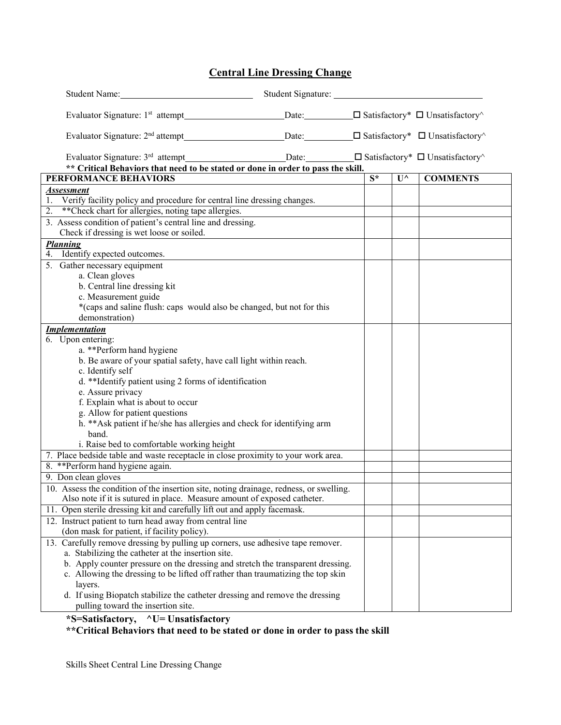## **Central Line Dressing Change**

| Student Name:                                                                                                                       |                  |                         |                 |
|-------------------------------------------------------------------------------------------------------------------------------------|------------------|-------------------------|-----------------|
| Evaluator Signature: 1 <sup>st</sup> attempt Date: Date: □ Satisfactory <sup>*</sup> □ Unsatisfactory <sup><math>\land</math></sup> |                  |                         |                 |
| Evaluator Signature: $2^{nd}$ attempt Date: $\Box$ Satisfactory <sup>*</sup> $\Box$ Unsatisfactory <sup><math>\land</math></sup>    |                  |                         |                 |
| ** Critical Behaviors that need to be stated or done in order to pass the skill.                                                    |                  |                         |                 |
| PERFORMANCE BEHAVIORS                                                                                                               | $\overline{S^*}$ | $\overline{U}^{\wedge}$ | <b>COMMENTS</b> |
| <b>Assessment</b>                                                                                                                   |                  |                         |                 |
| 1. Verify facility policy and procedure for central line dressing changes.                                                          |                  |                         |                 |
| 2. ** Check chart for allergies, noting tape allergies.                                                                             |                  |                         |                 |
| 3. Assess condition of patient's central line and dressing.                                                                         |                  |                         |                 |
| Check if dressing is wet loose or soiled.                                                                                           |                  |                         |                 |
| <b>Planning</b><br>4. Identify expected outcomes.                                                                                   |                  |                         |                 |
| 5. Gather necessary equipment                                                                                                       |                  |                         |                 |
| a. Clean gloves                                                                                                                     |                  |                         |                 |
| b. Central line dressing kit                                                                                                        |                  |                         |                 |
| c. Measurement guide                                                                                                                |                  |                         |                 |
| *(caps and saline flush: caps would also be changed, but not for this                                                               |                  |                         |                 |
| demonstration)                                                                                                                      |                  |                         |                 |
| <b>Implementation</b>                                                                                                               |                  |                         |                 |
| 6. Upon entering:                                                                                                                   |                  |                         |                 |
| a. **Perform hand hygiene                                                                                                           |                  |                         |                 |
| b. Be aware of your spatial safety, have call light within reach.                                                                   |                  |                         |                 |
| c. Identify self                                                                                                                    |                  |                         |                 |
| d. **Identify patient using 2 forms of identification                                                                               |                  |                         |                 |
| e. Assure privacy<br>f. Explain what is about to occur                                                                              |                  |                         |                 |
| g. Allow for patient questions                                                                                                      |                  |                         |                 |
| h. ** Ask patient if he/she has allergies and check for identifying arm                                                             |                  |                         |                 |
| band.                                                                                                                               |                  |                         |                 |
| i. Raise bed to comfortable working height                                                                                          |                  |                         |                 |
| 7. Place bedside table and waste receptacle in close proximity to your work area.                                                   |                  |                         |                 |
| 8. ** Perform hand hygiene again.                                                                                                   |                  |                         |                 |
| 9. Don clean gloves                                                                                                                 |                  |                         |                 |
| 10. Assess the condition of the insertion site, noting drainage, redness, or swelling.                                              |                  |                         |                 |
| Also note if it is sutured in place. Measure amount of exposed catheter.                                                            |                  |                         |                 |
| 11. Open sterile dressing kit and carefully lift out and apply facemask.                                                            |                  |                         |                 |
| 12. Instruct patient to turn head away from central line                                                                            |                  |                         |                 |
| (don mask for patient, if facility policy).                                                                                         |                  |                         |                 |
| 13. Carefully remove dressing by pulling up corners, use adhesive tape remover.                                                     |                  |                         |                 |
| a. Stabilizing the catheter at the insertion site.                                                                                  |                  |                         |                 |
| b. Apply counter pressure on the dressing and stretch the transparent dressing.                                                     |                  |                         |                 |
| c. Allowing the dressing to be lifted off rather than traumatizing the top skin                                                     |                  |                         |                 |
| layers.                                                                                                                             |                  |                         |                 |
| d. If using Biopatch stabilize the catheter dressing and remove the dressing                                                        |                  |                         |                 |
| pulling toward the insertion site.                                                                                                  |                  |                         |                 |

**\*S=Satisfactory, ^U= Unsatisfactory**

**\*\*Critical Behaviors that need to be stated or done in order to pass the skill**